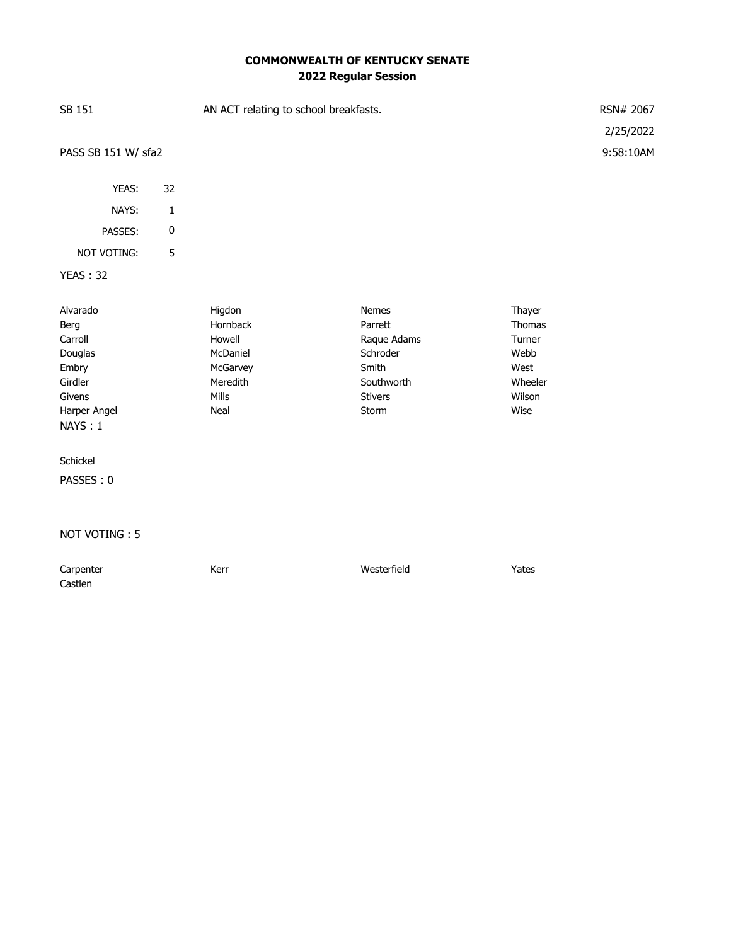## **COMMONWEALTH OF KENTUCKY SENATE 2022 Regular Session**

| SB 151                                                                                          |             | AN ACT relating to school breakfasts.                                             | RSN# 2067<br>2/25/2022                                                                        |                                                                         |           |
|-------------------------------------------------------------------------------------------------|-------------|-----------------------------------------------------------------------------------|-----------------------------------------------------------------------------------------------|-------------------------------------------------------------------------|-----------|
| PASS SB 151 W/ sfa2                                                                             |             |                                                                                   |                                                                                               |                                                                         | 9:58:10AM |
| YEAS:                                                                                           | 32          |                                                                                   |                                                                                               |                                                                         |           |
| NAYS:                                                                                           | $\mathbf 1$ |                                                                                   |                                                                                               |                                                                         |           |
| PASSES:                                                                                         | $\pmb{0}$   |                                                                                   |                                                                                               |                                                                         |           |
| NOT VOTING:                                                                                     | 5           |                                                                                   |                                                                                               |                                                                         |           |
| <b>YEAS: 32</b>                                                                                 |             |                                                                                   |                                                                                               |                                                                         |           |
| Alvarado<br>Berg<br>Carroll<br>Douglas<br>Embry<br>Girdler<br>Givens<br>Harper Angel<br>NAYS: 1 |             | Higdon<br>Hornback<br>Howell<br>McDaniel<br>McGarvey<br>Meredith<br>Mills<br>Neal | Nemes<br>Parrett<br>Raque Adams<br>Schroder<br>Smith<br>Southworth<br><b>Stivers</b><br>Storm | Thayer<br>Thomas<br>Turner<br>Webb<br>West<br>Wheeler<br>Wilson<br>Wise |           |
| Schickel<br>PASSES: 0                                                                           |             |                                                                                   |                                                                                               |                                                                         |           |
| NOT VOTING: 5                                                                                   |             |                                                                                   |                                                                                               |                                                                         |           |

Carpenter **Carpenter** Kerr **Kerr** Westerfield **Yates** Castlen